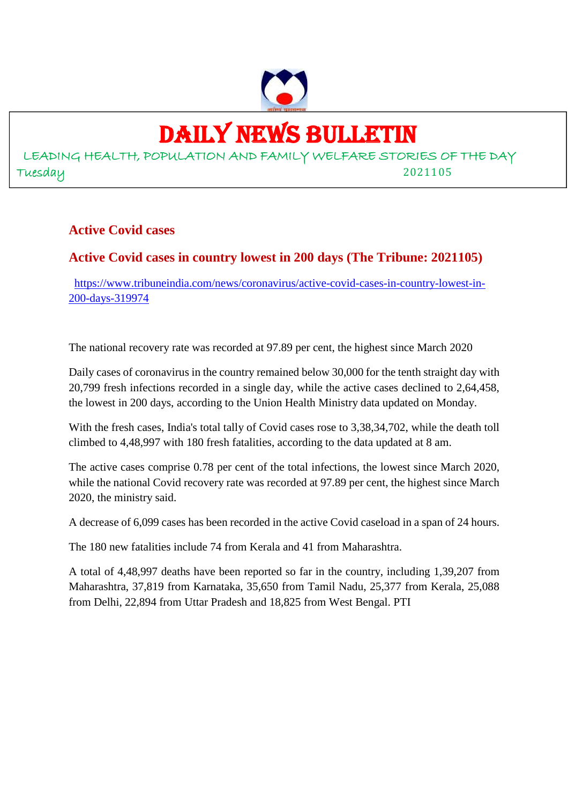# DAILY NEWS BULLETIN

LEADING HEALTH, POPULATION AND FAMILY WELFARE STORIES OF THE DAY Tuesday 2021105

## **Active Covid cases**

# **Active Covid cases in country lowest in 200 days (The Tribune: 2021105)**

https://www.tribuneindia.com/news/coronavirus/active-covid-cases-in-country-lowest-in-200-days-319974

The national recovery rate was recorded at 97.89 per cent, the highest since March 2020

Daily cases of coronavirus in the country remained below 30,000 for the tenth straight day with 20,799 fresh infections recorded in a single day, while the active cases declined to 2,64,458, the lowest in 200 days, according to the Union Health Ministry data updated on Monday.

With the fresh cases, India's total tally of Covid cases rose to 3,38,34,702, while the death toll climbed to 4,48,997 with 180 fresh fatalities, according to the data updated at 8 am.

The active cases comprise 0.78 per cent of the total infections, the lowest since March 2020, while the national Covid recovery rate was recorded at 97.89 per cent, the highest since March 2020, the ministry said.

A decrease of 6,099 cases has been recorded in the active Covid caseload in a span of 24 hours.

The 180 new fatalities include 74 from Kerala and 41 from Maharashtra.

A total of 4,48,997 deaths have been reported so far in the country, including 1,39,207 from Maharashtra, 37,819 from Karnataka, 35,650 from Tamil Nadu, 25,377 from Kerala, 25,088 from Delhi, 22,894 from Uttar Pradesh and 18,825 from West Bengal. PTI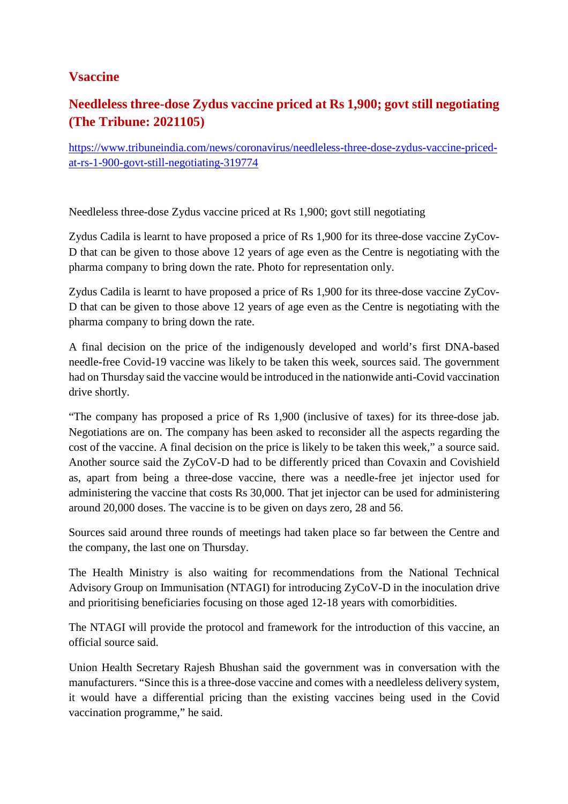## **Vsaccine**

# **Needleless three-dose Zydus vaccine priced at Rs 1,900; govt still negotiating (The Tribune: 2021105)**

https://www.tribuneindia.com/news/coronavirus/needleless-three-dose-zydus-vaccine-pricedat-rs-1-900-govt-still-negotiating-319774

Needleless three-dose Zydus vaccine priced at Rs 1,900; govt still negotiating

Zydus Cadila is learnt to have proposed a price of Rs 1,900 for its three-dose vaccine ZyCov-D that can be given to those above 12 years of age even as the Centre is negotiating with the pharma company to bring down the rate. Photo for representation only.

Zydus Cadila is learnt to have proposed a price of Rs 1,900 for its three-dose vaccine ZyCov-D that can be given to those above 12 years of age even as the Centre is negotiating with the pharma company to bring down the rate.

A final decision on the price of the indigenously developed and world's first DNA-based needle-free Covid-19 vaccine was likely to be taken this week, sources said. The government had on Thursday said the vaccine would be introduced in the nationwide anti-Covid vaccination drive shortly.

"The company has proposed a price of Rs 1,900 (inclusive of taxes) for its three-dose jab. Negotiations are on. The company has been asked to reconsider all the aspects regarding the cost of the vaccine. A final decision on the price is likely to be taken this week," a source said. Another source said the ZyCoV-D had to be differently priced than Covaxin and Covishield as, apart from being a three-dose vaccine, there was a needle-free jet injector used for administering the vaccine that costs Rs 30,000. That jet injector can be used for administering around 20,000 doses. The vaccine is to be given on days zero, 28 and 56.

Sources said around three rounds of meetings had taken place so far between the Centre and the company, the last one on Thursday.

The Health Ministry is also waiting for recommendations from the National Technical Advisory Group on Immunisation (NTAGI) for introducing ZyCoV-D in the inoculation drive and prioritising beneficiaries focusing on those aged 12-18 years with comorbidities.

The NTAGI will provide the protocol and framework for the introduction of this vaccine, an official source said.

Union Health Secretary Rajesh Bhushan said the government was in conversation with the manufacturers. "Since this is a three-dose vaccine and comes with a needleless delivery system, it would have a differential pricing than the existing vaccines being used in the Covid vaccination programme," he said.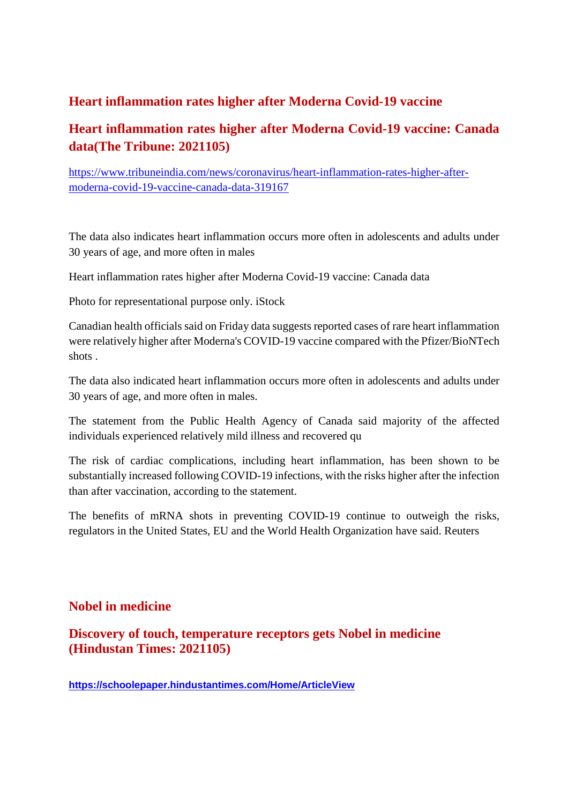#### **Heart inflammation rates higher after Moderna Covid-19 vaccine**

# **Heart inflammation rates higher after Moderna Covid-19 vaccine: Canada data(The Tribune: 2021105)**

https://www.tribuneindia.com/news/coronavirus/heart-inflammation-rates-higher-aftermoderna-covid-19-vaccine-canada-data-319167

The data also indicates heart inflammation occurs more often in adolescents and adults under 30 years of age, and more often in males

Heart inflammation rates higher after Moderna Covid-19 vaccine: Canada data

Photo for representational purpose only. iStock

Canadian health officials said on Friday data suggests reported cases of rare heart inflammation were relatively higher after Moderna's COVID-19 vaccine compared with the Pfizer/BioNTech shots .

The data also indicated heart inflammation occurs more often in adolescents and adults under 30 years of age, and more often in males.

The statement from the Public Health Agency of Canada said majority of the affected individuals experienced relatively mild illness and recovered qu

The risk of cardiac complications, including heart inflammation, has been shown to be substantially increased following COVID-19 infections, with the risks higher after the infection than after vaccination, according to the statement.

The benefits of mRNA shots in preventing COVID-19 continue to outweigh the risks, regulators in the United States, EU and the World Health Organization have said. Reuters

#### **Nobel in medicine**

#### **Discovery of touch, temperature receptors gets Nobel in medicine (Hindustan Times: 2021105)**

**https://schoolepaper.hindustantimes.com/Home/ArticleView**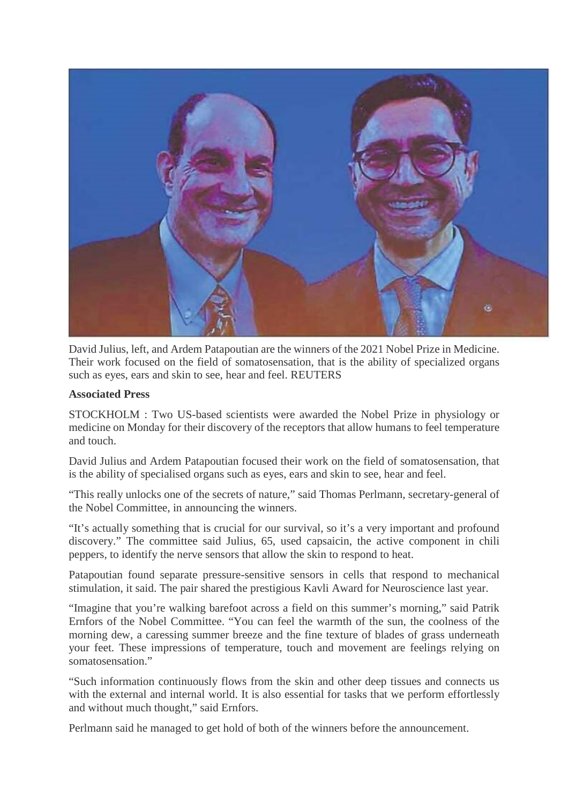

David Julius, left, and Ardem Patapoutian are the winners of the 2021 Nobel Prize in Medicine. Their work focused on the field of somatosensation, that is the ability of specialized organs such as eyes, ears and skin to see, hear and feel. REUTERS

#### **Associated Press**

STOCKHOLM : Two US-based scientists were awarded the Nobel Prize in physiology or medicine on Monday for their discovery of the receptors that allow humans to feel temperature and touch.

David Julius and Ardem Patapoutian focused their work on the field of somatosensation, that is the ability of specialised organs such as eyes, ears and skin to see, hear and feel.

"This really unlocks one of the secrets of nature," said Thomas Perlmann, secretary-general of the Nobel Committee, in announcing the winners.

"It's actually something that is crucial for our survival, so it's a very important and profound discovery." The committee said Julius, 65, used capsaicin, the active component in chili peppers, to identify the nerve sensors that allow the skin to respond to heat.

Patapoutian found separate pressure-sensitive sensors in cells that respond to mechanical stimulation, it said. The pair shared the prestigious Kavli Award for Neuroscience last year.

"Imagine that you're walking barefoot across a field on this summer's morning," said Patrik Ernfors of the Nobel Committee. "You can feel the warmth of the sun, the coolness of the morning dew, a caressing summer breeze and the fine texture of blades of grass underneath your feet. These impressions of temperature, touch and movement are feelings relying on somatosensation."

"Such information continuously flows from the skin and other deep tissues and connects us with the external and internal world. It is also essential for tasks that we perform effortlessly and without much thought," said Ernfors.

Perlmann said he managed to get hold of both of the winners before the announcement.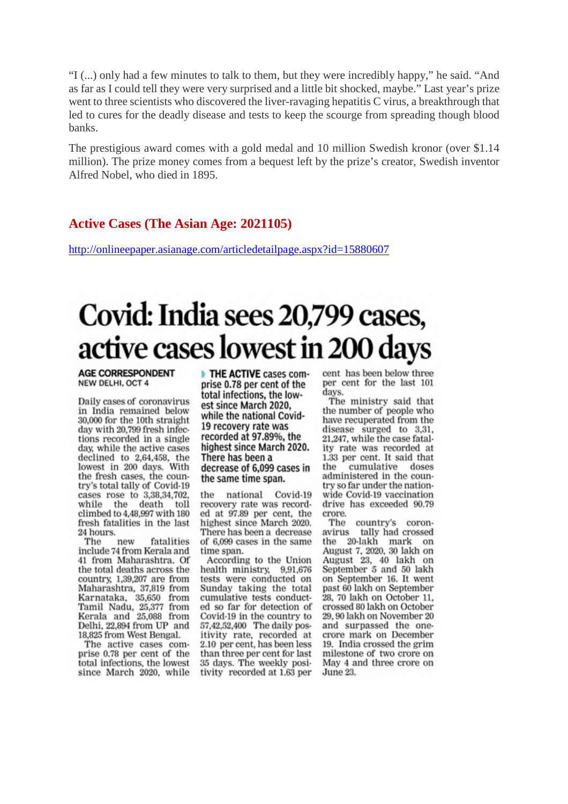"I (...) only had a few minutes to talk to them, but they were incredibly happy," he said. "And as far as I could tell they were very surprised and a little bit shocked, maybe." Last year's prize went to three scientists who discovered the liver-ravaging hepatitis C virus, a breakthrough that led to cures for the deadly disease and tests to keep the scourge from spreading though blood banks.

The prestigious award comes with a gold medal and 10 million Swedish kronor (over \$1.14 million). The prize money comes from a bequest left by the prize's creator, Swedish inventor Alfred Nobel, who died in 1895.

#### **Active Cases (The Asian Age: 2021105)**

http://onlineepaper.asianage.com/articledetailpage.aspx?id=15880607

# Covid: India sees 20,799 cases, active cases lowest in 200 days

#### **AGE CORRESPONDENT** NEW DELHI, OCT 4

Daily cases of coronavirus in India remained below 30,000 for the 10th straight day with 20,799 fresh infections recorded in a single day, while the active cases declined to 2,64,458, the lowest in 200 days. With the fresh cases, the country's total tally of Covid-19 cases rose to 3,38,34,702, while the death toll climbed to 4,48,997 with 180 fresh fatalities in the last 24 hours.

The new fatalities include 74 from Kerala and 41 from Maharashtra. Of the total deaths across the country, 1,39,207 are from Maharashtra, 37,819 from Karnataka, 35,650 from Tamil Nadu, 25,377 from<br>Kerala and 25,088 from Delhi, 22,894 from UP and 18,825 from West Bengal.

The active cases comprise 0.78 per cent of the total infections, the lowest since March 2020, while THE ACTIVE cases comprise 0.78 per cent of the total infections, the lowest since March 2020, while the national Covid-19 recovery rate was recorded at 97.89%, the highest since March 2020. There has been a decrease of 6,099 cases in the same time span.

the national Covid-19 recovery rate was recorded at 97.89 per cent, the highest since March 2020. There has been a decrease of 6,099 cases in the same time span.

According to the Union health ministry, 9,91,676 tests were conducted on Sunday taking the total cumulative tests conducted so far for detection of Covid-19 in the country to 57,42,52,400 The daily positivity rate, recorded at 2.10 per cent, has been less than three per cent for last 35 days. The weekly positivity recorded at 1.63 per

cent has been below three per cent for the last 101 days.

The ministry said that the number of people who have recuperated from the disease surged to 3,31, 21,247, while the case fatality rate was recorded at 1.33 per cent. It said that the cumulative doses administered in the country so far under the nationwide Covid-19 vaccination drive has exceeded 90.79 crore.

The country's coronavirus tally had crossed the 20-lakh mark on August 7, 2020, 30 lakh on August 23, 40 lakh on September 5 and 50 lakh on September 16. It went past 60 lakh on September 28, 70 lakh on October 11. crossed 80 lakh on October 29, 90 lakh on November 20 and surpassed the onecrore mark on December 19. India crossed the grim milestone of two crore on May 4 and three crore on June 23.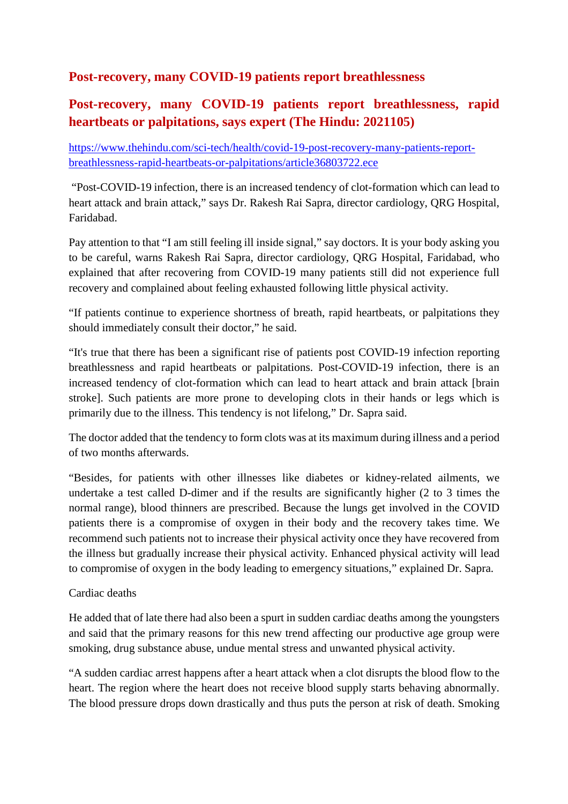#### **Post-recovery, many COVID-19 patients report breathlessness**

# **Post-recovery, many COVID-19 patients report breathlessness, rapid heartbeats or palpitations, says expert (The Hindu: 2021105)**

https://www.thehindu.com/sci-tech/health/covid-19-post-recovery-many-patients-reportbreathlessness-rapid-heartbeats-or-palpitations/article36803722.ece

"Post-COVID-19 infection, there is an increased tendency of clot-formation which can lead to heart attack and brain attack," says Dr. Rakesh Rai Sapra, director cardiology, QRG Hospital, Faridabad.

Pay attention to that "I am still feeling ill inside signal," say doctors. It is your body asking you to be careful, warns Rakesh Rai Sapra, director cardiology, QRG Hospital, Faridabad, who explained that after recovering from COVID-19 many patients still did not experience full recovery and complained about feeling exhausted following little physical activity.

"If patients continue to experience shortness of breath, rapid heartbeats, or palpitations they should immediately consult their doctor," he said.

"It's true that there has been a significant rise of patients post COVID-19 infection reporting breathlessness and rapid heartbeats or palpitations. Post-COVID-19 infection, there is an increased tendency of clot-formation which can lead to heart attack and brain attack [brain stroke]. Such patients are more prone to developing clots in their hands or legs which is primarily due to the illness. This tendency is not lifelong," Dr. Sapra said.

The doctor added that the tendency to form clots was at its maximum during illness and a period of two months afterwards.

"Besides, for patients with other illnesses like diabetes or kidney-related ailments, we undertake a test called D-dimer and if the results are significantly higher (2 to 3 times the normal range), blood thinners are prescribed. Because the lungs get involved in the COVID patients there is a compromise of oxygen in their body and the recovery takes time. We recommend such patients not to increase their physical activity once they have recovered from the illness but gradually increase their physical activity. Enhanced physical activity will lead to compromise of oxygen in the body leading to emergency situations," explained Dr. Sapra.

#### Cardiac deaths

He added that of late there had also been a spurt in sudden cardiac deaths among the youngsters and said that the primary reasons for this new trend affecting our productive age group were smoking, drug substance abuse, undue mental stress and unwanted physical activity.

"A sudden cardiac arrest happens after a heart attack when a clot disrupts the blood flow to the heart. The region where the heart does not receive blood supply starts behaving abnormally. The blood pressure drops down drastically and thus puts the person at risk of death. Smoking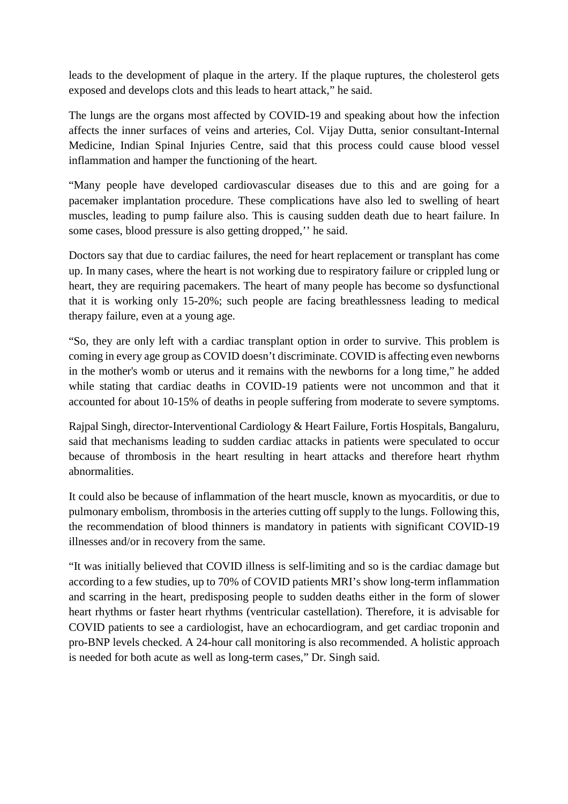leads to the development of plaque in the artery. If the plaque ruptures, the cholesterol gets exposed and develops clots and this leads to heart attack," he said.

The lungs are the organs most affected by COVID-19 and speaking about how the infection affects the inner surfaces of veins and arteries, Col. Vijay Dutta, senior consultant-Internal Medicine, Indian Spinal Injuries Centre, said that this process could cause blood vessel inflammation and hamper the functioning of the heart.

"Many people have developed cardiovascular diseases due to this and are going for a pacemaker implantation procedure. These complications have also led to swelling of heart muscles, leading to pump failure also. This is causing sudden death due to heart failure. In some cases, blood pressure is also getting dropped,'' he said.

Doctors say that due to cardiac failures, the need for heart replacement or transplant has come up. In many cases, where the heart is not working due to respiratory failure or crippled lung or heart, they are requiring pacemakers. The heart of many people has become so dysfunctional that it is working only 15-20%; such people are facing breathlessness leading to medical therapy failure, even at a young age.

"So, they are only left with a cardiac transplant option in order to survive. This problem is coming in every age group as COVID doesn't discriminate. COVID is affecting even newborns in the mother's womb or uterus and it remains with the newborns for a long time," he added while stating that cardiac deaths in COVID-19 patients were not uncommon and that it accounted for about 10-15% of deaths in people suffering from moderate to severe symptoms.

Rajpal Singh, director-Interventional Cardiology & Heart Failure, Fortis Hospitals, Bangaluru, said that mechanisms leading to sudden cardiac attacks in patients were speculated to occur because of thrombosis in the heart resulting in heart attacks and therefore heart rhythm abnormalities.

It could also be because of inflammation of the heart muscle, known as myocarditis, or due to pulmonary embolism, thrombosis in the arteries cutting off supply to the lungs. Following this, the recommendation of blood thinners is mandatory in patients with significant COVID-19 illnesses and/or in recovery from the same.

"It was initially believed that COVID illness is self-limiting and so is the cardiac damage but according to a few studies, up to 70% of COVID patients MRI's show long-term inflammation and scarring in the heart, predisposing people to sudden deaths either in the form of slower heart rhythms or faster heart rhythms (ventricular castellation). Therefore, it is advisable for COVID patients to see a cardiologist, have an echocardiogram, and get cardiac troponin and pro-BNP levels checked. A 24-hour call monitoring is also recommended. A holistic approach is needed for both acute as well as long-term cases," Dr. Singh said.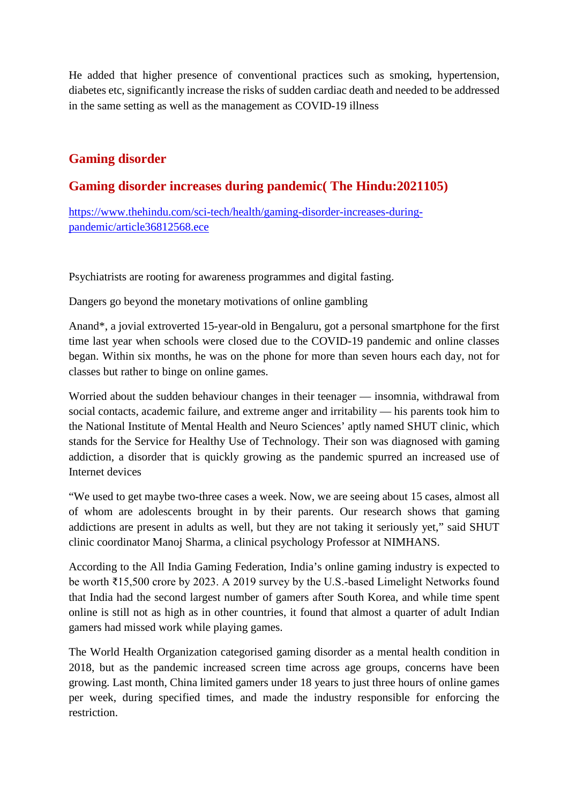He added that higher presence of conventional practices such as smoking, hypertension, diabetes etc, significantly increase the risks of sudden cardiac death and needed to be addressed in the same setting as well as the management as COVID-19 illness

#### **Gaming disorder**

#### **Gaming disorder increases during pandemic( The Hindu:2021105)**

https://www.thehindu.com/sci-tech/health/gaming-disorder-increases-duringpandemic/article36812568.ece

Psychiatrists are rooting for awareness programmes and digital fasting.

Dangers go beyond the monetary motivations of online gambling

Anand\*, a jovial extroverted 15-year-old in Bengaluru, got a personal smartphone for the first time last year when schools were closed due to the COVID-19 pandemic and online classes began. Within six months, he was on the phone for more than seven hours each day, not for classes but rather to binge on online games.

Worried about the sudden behaviour changes in their teenager — insomnia, withdrawal from social contacts, academic failure, and extreme anger and irritability — his parents took him to the National Institute of Mental Health and Neuro Sciences' aptly named SHUT clinic, which stands for the Service for Healthy Use of Technology. Their son was diagnosed with gaming addiction, a disorder that is quickly growing as the pandemic spurred an increased use of Internet devices

"We used to get maybe two-three cases a week. Now, we are seeing about 15 cases, almost all of whom are adolescents brought in by their parents. Our research shows that gaming addictions are present in adults as well, but they are not taking it seriously yet," said SHUT clinic coordinator Manoj Sharma, a clinical psychology Professor at NIMHANS.

According to the All India Gaming Federation, India's online gaming industry is expected to be worth ₹15,500 crore by 2023. A 2019 survey by the U.S.-based Limelight Networks found that India had the second largest number of gamers after South Korea, and while time spent online is still not as high as in other countries, it found that almost a quarter of adult Indian gamers had missed work while playing games.

The World Health Organization categorised gaming disorder as a mental health condition in 2018, but as the pandemic increased screen time across age groups, concerns have been growing. Last month, China limited gamers under 18 years to just three hours of online games per week, during specified times, and made the industry responsible for enforcing the restriction.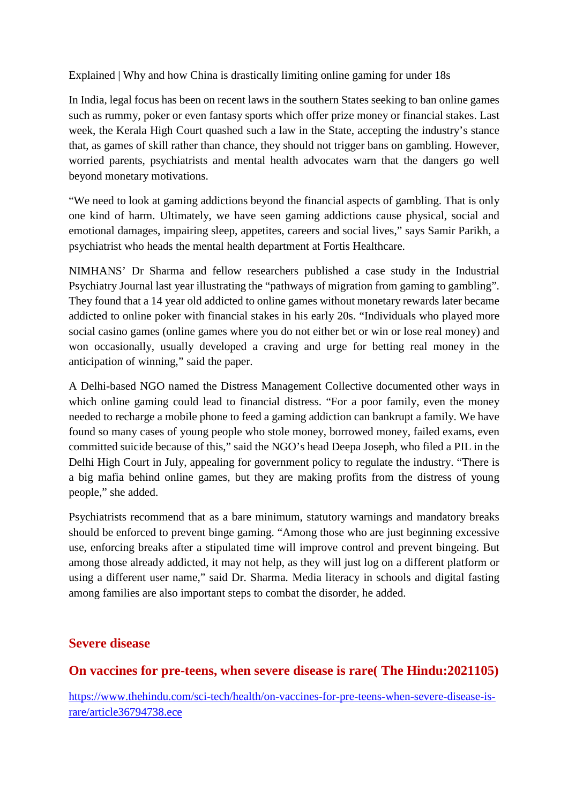Explained | Why and how China is drastically limiting online gaming for under 18s

In India, legal focus has been on recent laws in the southern States seeking to ban online games such as rummy, poker or even fantasy sports which offer prize money or financial stakes. Last week, the Kerala High Court quashed such a law in the State, accepting the industry's stance that, as games of skill rather than chance, they should not trigger bans on gambling. However, worried parents, psychiatrists and mental health advocates warn that the dangers go well beyond monetary motivations.

"We need to look at gaming addictions beyond the financial aspects of gambling. That is only one kind of harm. Ultimately, we have seen gaming addictions cause physical, social and emotional damages, impairing sleep, appetites, careers and social lives," says Samir Parikh, a psychiatrist who heads the mental health department at Fortis Healthcare.

NIMHANS' Dr Sharma and fellow researchers published a case study in the Industrial Psychiatry Journal last year illustrating the "pathways of migration from gaming to gambling". They found that a 14 year old addicted to online games without monetary rewards later became addicted to online poker with financial stakes in his early 20s. "Individuals who played more social casino games (online games where you do not either bet or win or lose real money) and won occasionally, usually developed a craving and urge for betting real money in the anticipation of winning," said the paper.

A Delhi-based NGO named the Distress Management Collective documented other ways in which online gaming could lead to financial distress. "For a poor family, even the money needed to recharge a mobile phone to feed a gaming addiction can bankrupt a family. We have found so many cases of young people who stole money, borrowed money, failed exams, even committed suicide because of this," said the NGO's head Deepa Joseph, who filed a PIL in the Delhi High Court in July, appealing for government policy to regulate the industry. "There is a big mafia behind online games, but they are making profits from the distress of young people," she added.

Psychiatrists recommend that as a bare minimum, statutory warnings and mandatory breaks should be enforced to prevent binge gaming. "Among those who are just beginning excessive use, enforcing breaks after a stipulated time will improve control and prevent bingeing. But among those already addicted, it may not help, as they will just log on a different platform or using a different user name," said Dr. Sharma. Media literacy in schools and digital fasting among families are also important steps to combat the disorder, he added.

#### **Severe disease**

#### **On vaccines for pre-teens, when severe disease is rare( The Hindu:2021105)**

https://www.thehindu.com/sci-tech/health/on-vaccines-for-pre-teens-when-severe-disease-israre/article36794738.ece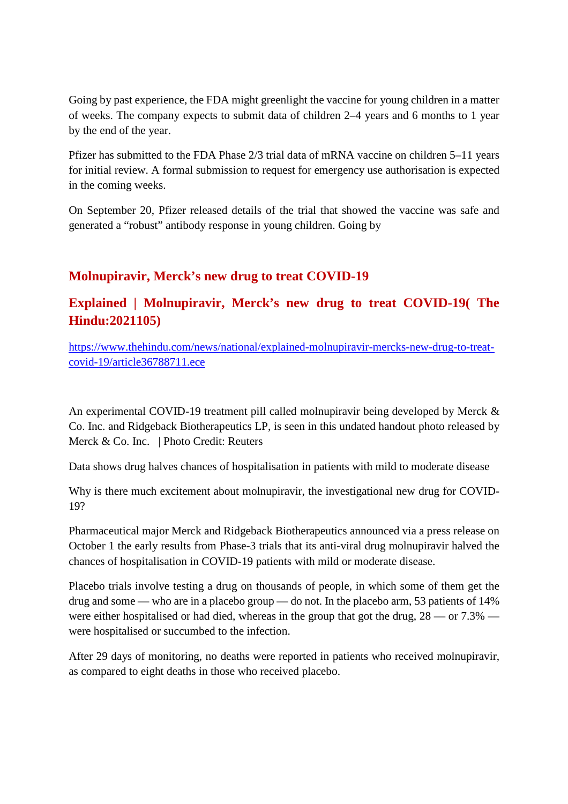Going by past experience, the FDA might greenlight the vaccine for young children in a matter of weeks. The company expects to submit data of children 2–4 years and 6 months to 1 year by the end of the year.

Pfizer has submitted to the FDA Phase 2/3 trial data of mRNA vaccine on children 5–11 years for initial review. A formal submission to request for emergency use authorisation is expected in the coming weeks.

On September 20, Pfizer released details of the trial that showed the vaccine was safe and generated a "robust" antibody response in young children. Going by

## **Molnupiravir, Merck's new drug to treat COVID-19**

# **Explained | Molnupiravir, Merck's new drug to treat COVID-19( The Hindu:2021105)**

https://www.thehindu.com/news/national/explained-molnupiravir-mercks-new-drug-to-treatcovid-19/article36788711.ece

An experimental COVID-19 treatment pill called molnupiravir being developed by Merck & Co. Inc. and Ridgeback Biotherapeutics LP, is seen in this undated handout photo released by Merck & Co. Inc. | Photo Credit: Reuters

Data shows drug halves chances of hospitalisation in patients with mild to moderate disease

Why is there much excitement about molnupiravir, the investigational new drug for COVID-19?

Pharmaceutical major Merck and Ridgeback Biotherapeutics announced via a press release on October 1 the early results from Phase-3 trials that its anti-viral drug molnupiravir halved the chances of hospitalisation in COVID-19 patients with mild or moderate disease.

Placebo trials involve testing a drug on thousands of people, in which some of them get the drug and some — who are in a placebo group — do not. In the placebo arm, 53 patients of 14% were either hospitalised or had died, whereas in the group that got the drug,  $28 -$  or  $7.3\%$  were hospitalised or succumbed to the infection.

After 29 days of monitoring, no deaths were reported in patients who received molnupiravir, as compared to eight deaths in those who received placebo.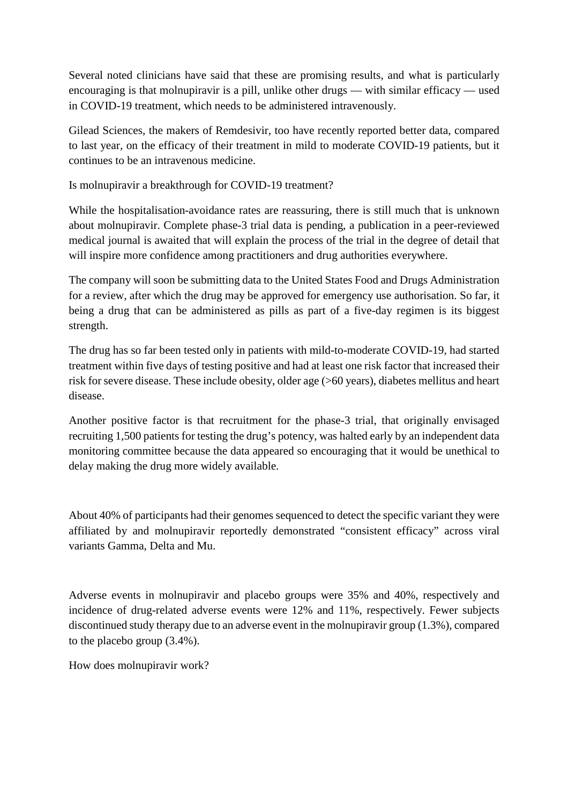Several noted clinicians have said that these are promising results, and what is particularly encouraging is that molnupiravir is a pill, unlike other drugs — with similar efficacy — used in COVID-19 treatment, which needs to be administered intravenously.

Gilead Sciences, the makers of Remdesivir, too have recently reported better data, compared to last year, on the efficacy of their treatment in mild to moderate COVID-19 patients, but it continues to be an intravenous medicine.

Is molnupiravir a breakthrough for COVID-19 treatment?

While the hospitalisation-avoidance rates are reassuring, there is still much that is unknown about molnupiravir. Complete phase-3 trial data is pending, a publication in a peer-reviewed medical journal is awaited that will explain the process of the trial in the degree of detail that will inspire more confidence among practitioners and drug authorities everywhere.

The company will soon be submitting data to the United States Food and Drugs Administration for a review, after which the drug may be approved for emergency use authorisation. So far, it being a drug that can be administered as pills as part of a five-day regimen is its biggest strength.

The drug has so far been tested only in patients with mild-to-moderate COVID-19, had started treatment within five days of testing positive and had at least one risk factor that increased their risk for severe disease. These include obesity, older age (>60 years), diabetes mellitus and heart disease.

Another positive factor is that recruitment for the phase-3 trial, that originally envisaged recruiting 1,500 patients for testing the drug's potency, was halted early by an independent data monitoring committee because the data appeared so encouraging that it would be unethical to delay making the drug more widely available.

About 40% of participants had their genomes sequenced to detect the specific variant they were affiliated by and molnupiravir reportedly demonstrated "consistent efficacy" across viral variants Gamma, Delta and Mu.

Adverse events in molnupiravir and placebo groups were 35% and 40%, respectively and incidence of drug-related adverse events were 12% and 11%, respectively. Fewer subjects discontinued study therapy due to an adverse event in the molnupiravir group (1.3%), compared to the placebo group (3.4%).

How does molnupiravir work?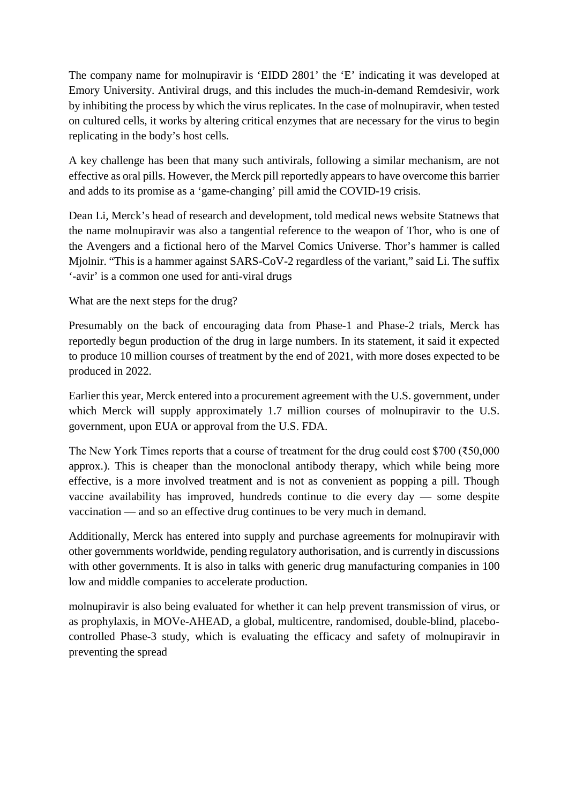The company name for molnupiravir is 'EIDD 2801' the 'E' indicating it was developed at Emory University. Antiviral drugs, and this includes the much-in-demand Remdesivir, work by inhibiting the process by which the virus replicates. In the case of molnupiravir, when tested on cultured cells, it works by altering critical enzymes that are necessary for the virus to begin replicating in the body's host cells.

A key challenge has been that many such antivirals, following a similar mechanism, are not effective as oral pills. However, the Merck pill reportedly appears to have overcome this barrier and adds to its promise as a 'game-changing' pill amid the COVID-19 crisis.

Dean Li, Merck's head of research and development, told medical news website Statnews that the name molnupiravir was also a tangential reference to the weapon of Thor, who is one of the Avengers and a fictional hero of the Marvel Comics Universe. Thor's hammer is called Mjolnir. "This is a hammer against SARS-CoV-2 regardless of the variant," said Li. The suffix '-avir' is a common one used for anti-viral drugs

What are the next steps for the drug?

Presumably on the back of encouraging data from Phase-1 and Phase-2 trials, Merck has reportedly begun production of the drug in large numbers. In its statement, it said it expected to produce 10 million courses of treatment by the end of 2021, with more doses expected to be produced in 2022.

Earlier this year, Merck entered into a procurement agreement with the U.S. government, under which Merck will supply approximately 1.7 million courses of molnupiravir to the U.S. government, upon EUA or approval from the U.S. FDA.

The New York Times reports that a course of treatment for the drug could cost \$700 (₹50,000 approx.). This is cheaper than the monoclonal antibody therapy, which while being more effective, is a more involved treatment and is not as convenient as popping a pill. Though vaccine availability has improved, hundreds continue to die every day — some despite vaccination — and so an effective drug continues to be very much in demand.

Additionally, Merck has entered into supply and purchase agreements for molnupiravir with other governments worldwide, pending regulatory authorisation, and is currently in discussions with other governments. It is also in talks with generic drug manufacturing companies in 100 low and middle companies to accelerate production.

molnupiravir is also being evaluated for whether it can help prevent transmission of virus, or as prophylaxis, in MOVe-AHEAD, a global, multicentre, randomised, double-blind, placebocontrolled Phase-3 study, which is evaluating the efficacy and safety of molnupiravir in preventing the spread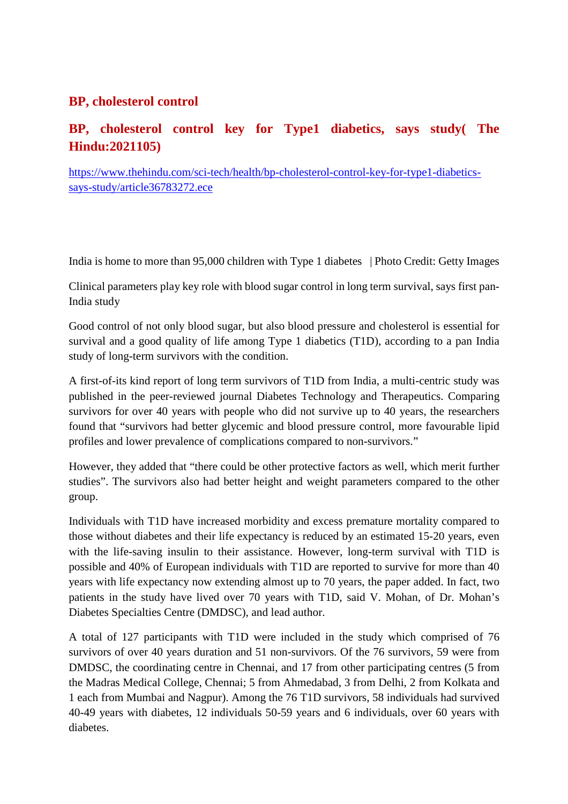#### **BP, cholesterol control**

## **BP, cholesterol control key for Type1 diabetics, says study( The Hindu:2021105)**

https://www.thehindu.com/sci-tech/health/bp-cholesterol-control-key-for-type1-diabeticssays-study/article36783272.ece

India is home to more than 95,000 children with Type 1 diabetes | Photo Credit: Getty Images

Clinical parameters play key role with blood sugar control in long term survival, says first pan-India study

Good control of not only blood sugar, but also blood pressure and cholesterol is essential for survival and a good quality of life among Type 1 diabetics (T1D), according to a pan India study of long-term survivors with the condition.

A first-of-its kind report of long term survivors of T1D from India, a multi-centric study was published in the peer-reviewed journal Diabetes Technology and Therapeutics. Comparing survivors for over 40 years with people who did not survive up to 40 years, the researchers found that "survivors had better glycemic and blood pressure control, more favourable lipid profiles and lower prevalence of complications compared to non-survivors."

However, they added that "there could be other protective factors as well, which merit further studies". The survivors also had better height and weight parameters compared to the other group.

Individuals with T1D have increased morbidity and excess premature mortality compared to those without diabetes and their life expectancy is reduced by an estimated 15-20 years, even with the life-saving insulin to their assistance. However, long-term survival with T1D is possible and 40% of European individuals with T1D are reported to survive for more than 40 years with life expectancy now extending almost up to 70 years, the paper added. In fact, two patients in the study have lived over 70 years with T1D, said V. Mohan, of Dr. Mohan's Diabetes Specialties Centre (DMDSC), and lead author.

A total of 127 participants with T1D were included in the study which comprised of 76 survivors of over 40 years duration and 51 non-survivors. Of the 76 survivors, 59 were from DMDSC, the coordinating centre in Chennai, and 17 from other participating centres (5 from the Madras Medical College, Chennai; 5 from Ahmedabad, 3 from Delhi, 2 from Kolkata and 1 each from Mumbai and Nagpur). Among the 76 T1D survivors, 58 individuals had survived 40-49 years with diabetes, 12 individuals 50-59 years and 6 individuals, over 60 years with diabetes.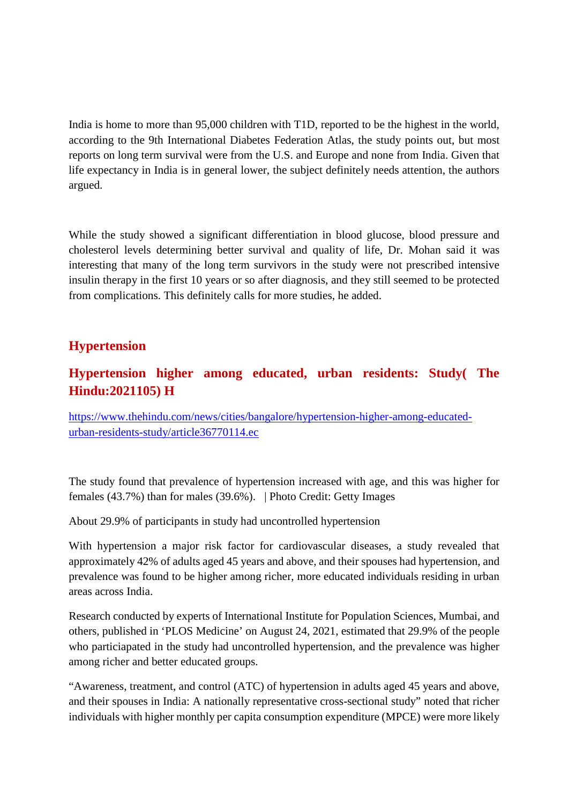India is home to more than 95,000 children with T1D, reported to be the highest in the world, according to the 9th International Diabetes Federation Atlas, the study points out, but most reports on long term survival were from the U.S. and Europe and none from India. Given that life expectancy in India is in general lower, the subject definitely needs attention, the authors argued.

While the study showed a significant differentiation in blood glucose, blood pressure and cholesterol levels determining better survival and quality of life, Dr. Mohan said it was interesting that many of the long term survivors in the study were not prescribed intensive insulin therapy in the first 10 years or so after diagnosis, and they still seemed to be protected from complications. This definitely calls for more studies, he added.

## **Hypertension**

## **Hypertension higher among educated, urban residents: Study( The Hindu:2021105) H**

https://www.thehindu.com/news/cities/bangalore/hypertension-higher-among-educatedurban-residents-study/article36770114.ec

The study found that prevalence of hypertension increased with age, and this was higher for females (43.7%) than for males (39.6%). | Photo Credit: Getty Images

About 29.9% of participants in study had uncontrolled hypertension

With hypertension a major risk factor for cardiovascular diseases, a study revealed that approximately 42% of adults aged 45 years and above, and their spouses had hypertension, and prevalence was found to be higher among richer, more educated individuals residing in urban areas across India.

Research conducted by experts of International Institute for Population Sciences, Mumbai, and others, published in 'PLOS Medicine' on August 24, 2021, estimated that 29.9% of the people who particiapated in the study had uncontrolled hypertension, and the prevalence was higher among richer and better educated groups.

"Awareness, treatment, and control (ATC) of hypertension in adults aged 45 years and above, and their spouses in India: A nationally representative cross-sectional study" noted that richer individuals with higher monthly per capita consumption expenditure (MPCE) were more likely